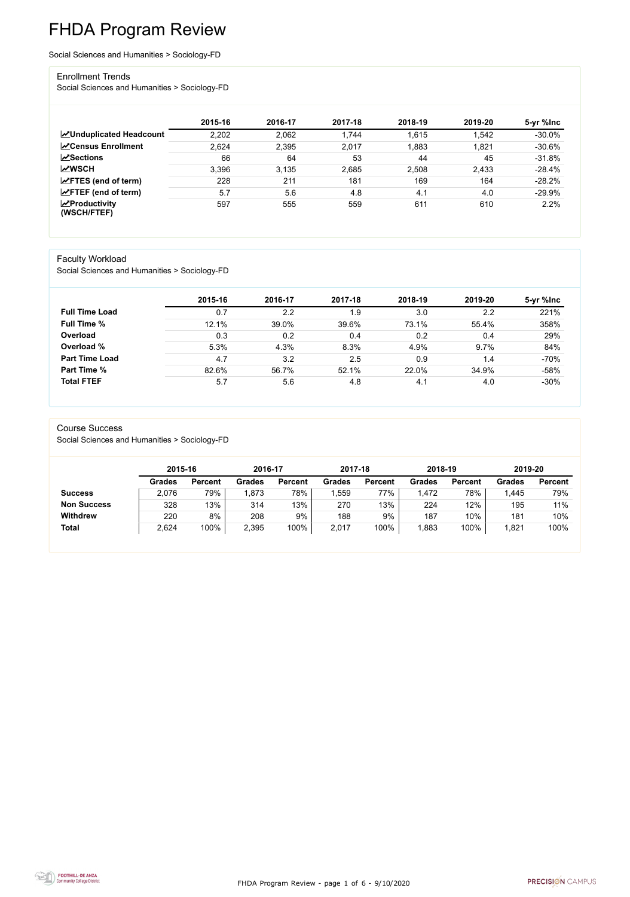FHDA Program Review - page 1 of 6 - 9/10/2020



# FHDA Program Review

Social Sciences and Humanities > Sociology-FD

#### Enrollment Trends

Social Sciences and Humanities > Sociology-FD

|                                    | 2015-16 | 2016-17 | 2017-18 | 2018-19 | 2019-20 | 5-yr %lnc |
|------------------------------------|---------|---------|---------|---------|---------|-----------|
| ∠Unduplicated Headcount            | 2,202   | 2,062   | 1,744   | 1,615   | 1,542   | $-30.0\%$ |
| <b>∠</b> Census Enrollment         | 2,624   | 2,395   | 2,017   | 1,883   | 1,821   | $-30.6%$  |
| <b>ZSections</b>                   | 66      | 64      | 53      | 44      | 45      | $-31.8%$  |
| <b>MWSCH</b>                       | 3,396   | 3.135   | 2,685   | 2,508   | 2,433   | $-28.4%$  |
| $\angle$ FTES (end of term)        | 228     | 211     | 181     | 169     | 164     | $-28.2%$  |
| $\angle$ FTEF (end of term)        | 5.7     | 5.6     | 4.8     | 4.1     | 4.0     | $-29.9\%$ |
| $\chi$ Productivity<br>(WSCH/FTEF) | 597     | 555     | 559     | 611     | 610     | 2.2%      |

#### Faculty Workload

Social Sciences and Humanities > Sociology-FD

|                       | 2015-16 | 2016-17 | 2017-18 | 2018-19 | 2019-20 | 5-yr %lnc |
|-----------------------|---------|---------|---------|---------|---------|-----------|
| <b>Full Time Load</b> | 0.7     | 2.2     | 1.9     | 3.0     | 2.2     | 221%      |
| <b>Full Time %</b>    | 12.1%   | 39.0%   | 39.6%   | 73.1%   | 55.4%   | 358%      |
| Overload              | 0.3     | 0.2     | 0.4     | 0.2     | 0.4     | 29%       |
| Overload %            | 5.3%    | 4.3%    | 8.3%    | 4.9%    | 9.7%    | 84%       |
| <b>Part Time Load</b> | 4.7     | 3.2     | 2.5     | 0.9     | 1.4     | $-70%$    |
| Part Time %           | 82.6%   | 56.7%   | 52.1%   | 22.0%   | 34.9%   | $-58%$    |
| <b>Total FTEF</b>     | 5.7     | 5.6     | 4.8     | 4.1     | 4.0     | $-30%$    |

#### Course Success

Social Sciences and Humanities > Sociology-FD

|                    | 2015-16       |                | 2016-17       |                | 2017-18       |                | 2018-19       |                | 2019-20       |                |
|--------------------|---------------|----------------|---------------|----------------|---------------|----------------|---------------|----------------|---------------|----------------|
|                    | <b>Grades</b> | <b>Percent</b> | <b>Grades</b> | <b>Percent</b> | <b>Grades</b> | <b>Percent</b> | <b>Grades</b> | <b>Percent</b> | <b>Grades</b> | <b>Percent</b> |
| <b>Success</b>     | 2,076         | 79%            | ,873          | 78%            | ,559          | 77%            | ,472          | 78%            | 1,445         | 79%            |
| <b>Non Success</b> | 328           | 13%            | 314           | 13%            | 270           | 13%            | 224           | 12%            | 195           | 11%            |
| <b>Withdrew</b>    | 220           | 8%             | 208           | 9%             | 188           | 9%             | 187           | 10%            | 181           | 10%            |
| <b>Total</b>       | 2,624         | 100%           | 2,395         | 100%           | 2,017         | 100%           | ,883          | 100%           | 1,821         | 100%           |

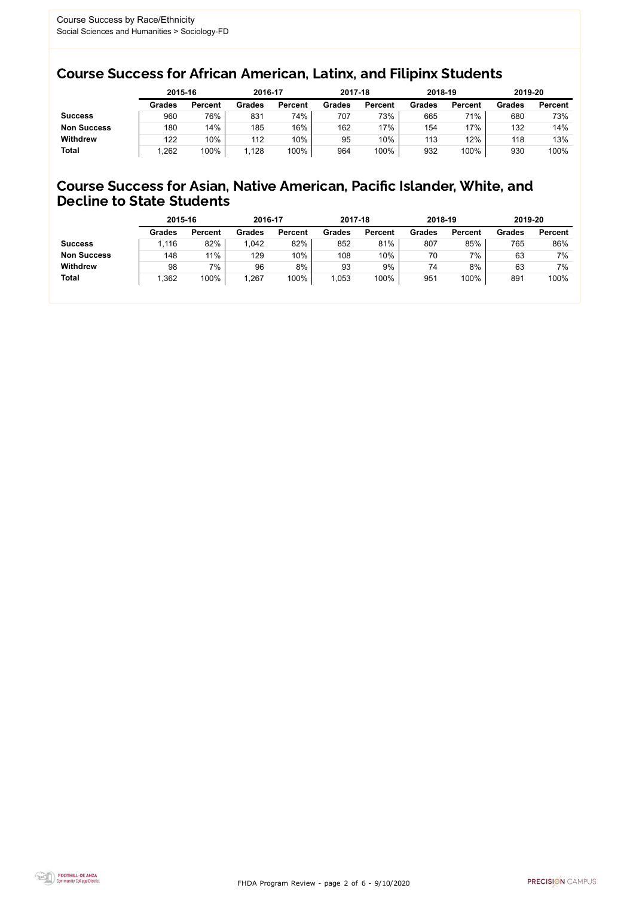FHDA Program Review - page 2 of 6 - 9/10/2020



### Course Success for African American, Latinx, and Filipinx Students

### Course Success for Asian, Native American, Pacific Islander, White, and Decline to State Students

|                    | 2015-16       |                | 2016-17       |                | 2017-18       |                | 2018-19       |                | 2019-20 |                |
|--------------------|---------------|----------------|---------------|----------------|---------------|----------------|---------------|----------------|---------|----------------|
|                    | <b>Grades</b> | <b>Percent</b> | <b>Grades</b> | <b>Percent</b> | <b>Grades</b> | <b>Percent</b> | <b>Grades</b> | <b>Percent</b> | Grades  | <b>Percent</b> |
| <b>Success</b>     | 960           | 76%            | 831           | 74%            | 707           | 73%            | 665           | 71%            | 680     | 73%            |
| <b>Non Success</b> | 180           | 14%            | 185           | 16%            | 162           | 17%            | 154           | 17%            | 132     | 14%            |
| <b>Withdrew</b>    | 122           | 10%            | 112           | 10%            | 95            | 10%            | 113           | 12%            | 118     | 13%            |
| <b>Total</b>       | .262          | 100%           | 1.128         | 100%           | 964           | 100%           | 932           | 100%           | 930     | 100%           |

|                    | 2015-16       |                | 2016-17       |                | 2017-18 |                | 2018-19       |                | 2019-20       |                |
|--------------------|---------------|----------------|---------------|----------------|---------|----------------|---------------|----------------|---------------|----------------|
|                    | <b>Grades</b> | <b>Percent</b> | <b>Grades</b> | <b>Percent</b> | Grades  | <b>Percent</b> | <b>Grades</b> | <b>Percent</b> | <b>Grades</b> | <b>Percent</b> |
| <b>Success</b>     | .116          | 82%            | 1,042         | 82%            | 852     | 81%            | 807           | 85%            | 765           | 86%            |
| <b>Non Success</b> | 148           | 11%            | 129           | 10%            | 108     | 10%            | 70            | 7%             | 63            | 7%             |
| <b>Withdrew</b>    | 98            | 7%             | 96            | 8%             | 93      | 9%             | 74            | 8%             | 63            | 7%             |
| <b>Total</b>       | 1,362         | 100%           | ,267          | 100%           | ,053    | 100%           | 951           | 100%           | 891           | 100%           |
|                    |               |                |               |                |         |                |               |                |               |                |

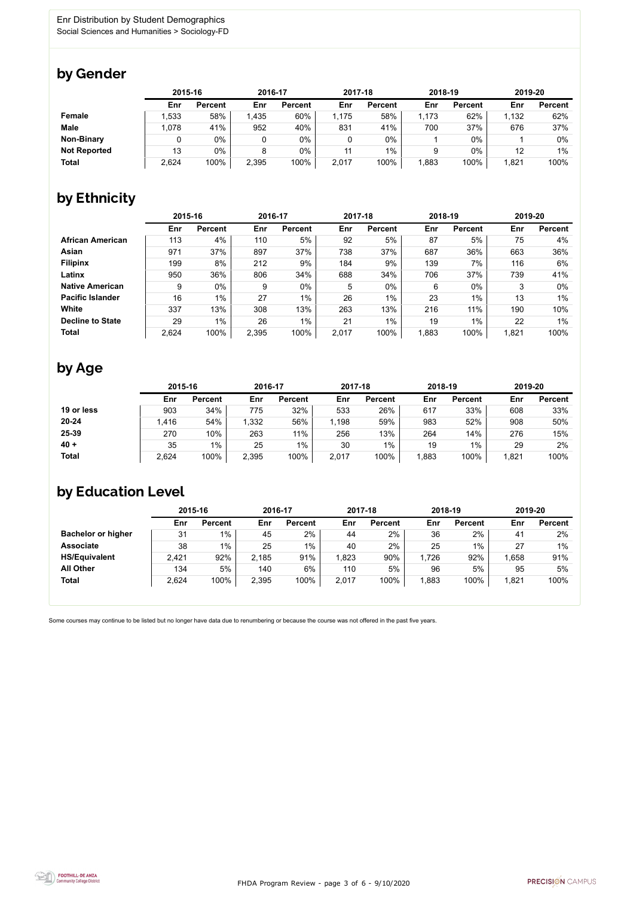FHDA Program Review - page 3 of 6 - 9/10/2020



Some courses may continue to be listed but no longer have data due to renumbering or because the course was not offered in the past five years.



### by Gender

|                     | 2015-16 |                |       | 2016-17        |       | 2017-18        | 2018-19 |                | 2019-20 |                |
|---------------------|---------|----------------|-------|----------------|-------|----------------|---------|----------------|---------|----------------|
|                     | Enr     | <b>Percent</b> | Enr   | <b>Percent</b> | Enr   | <b>Percent</b> | Enr     | <b>Percent</b> | Enr     | <b>Percent</b> |
| <b>Female</b>       | 1,533   | 58%            | 1,435 | 60%            | 1,175 | 58%            | 1,173   | 62%            | 1,132   | 62%            |
| <b>Male</b>         | 1,078   | 41%            | 952   | 40%            | 831   | 41%            | 700     | 37%            | 676     | 37%            |
| <b>Non-Binary</b>   |         | 0%             |       | $0\%$          |       | $0\%$          |         | $0\%$          |         | 0%             |
| <b>Not Reported</b> | 13      | 0%             |       | $0\%$          | 11    | $1\%$          |         | 0%             | 12      | 1%             |
| <b>Total</b>        | 2,624   | 100%           | 2,395 | 100%           | 2,017 | 100%           | 883,    | 100%           | 1,821   | 100%           |

## by Ethnicity

|                         | 2015-16 |                |       | 2016-17        |       | 2017-18        | 2018-19 |                | 2019-20 |                |
|-------------------------|---------|----------------|-------|----------------|-------|----------------|---------|----------------|---------|----------------|
|                         | Enr     | <b>Percent</b> | Enr   | <b>Percent</b> | Enr   | <b>Percent</b> | Enr     | <b>Percent</b> | Enr     | <b>Percent</b> |
| <b>African American</b> | 113     | 4%             | 110   | 5%             | 92    | 5%             | 87      | 5%             | 75      | 4%             |
| <b>Asian</b>            | 971     | 37%            | 897   | 37%            | 738   | 37%            | 687     | 36%            | 663     | 36%            |
| <b>Filipinx</b>         | 199     | 8%             | 212   | 9%             | 184   | 9%             | 139     | 7%             | 116     | 6%             |
| Latinx                  | 950     | 36%            | 806   | 34%            | 688   | 34%            | 706     | 37%            | 739     | 41%            |
| <b>Native American</b>  | 9       | $0\%$          | 9     | $0\%$          | 5     | $0\%$          | 6       | $0\%$          | 3       | $0\%$          |
| <b>Pacific Islander</b> | 16      | 1%             | 27    | $1\%$          | 26    | $1\%$          | 23      | $1\%$          | 13      | $1\%$          |
| White                   | 337     | 13%            | 308   | 13%            | 263   | 13%            | 216     | 11%            | 190     | 10%            |
| <b>Decline to State</b> | 29      | $1\%$          | 26    | $1\%$          | 21    | $1\%$          | 19      | $1\%$          | 22      | $1\%$          |
| <b>Total</b>            | 2,624   | 100%           | 2,395 | 100%           | 2,017 | 100%           | 1,883   | 100%           | 1,821   | 100%           |

## by Age

|              | 2015-16 |                | 2016-17 |                | 2017-18 |                | 2018-19 |                | 2019-20 |                |
|--------------|---------|----------------|---------|----------------|---------|----------------|---------|----------------|---------|----------------|
|              | Enr     | <b>Percent</b> | Enr     | <b>Percent</b> | Enr     | <b>Percent</b> | Enr     | <b>Percent</b> | Enr     | <b>Percent</b> |
| 19 or less   | 903     | 34%            | 775     | 32%            | 533     | 26%            | 617     | 33%            | 608     | 33%            |
| $20 - 24$    | ,416    | 54%            | 1,332   | 56%            | 1,198   | 59%            | 983     | 52%            | 908     | 50%            |
| 25-39        | 270     | 10%            | 263     | 11%            | 256     | 13%            | 264     | 14%            | 276     | 15%            |
| $40 +$       | 35      | $1\%$          | 25      | $1\%$          | 30      | $1\%$          | 19      | $1\%$          | 29      | 2%             |
| <b>Total</b> | 2,624   | 100%           | 2,395   | 100%           | 2,017   | 100%           | .883    | 100%           | 1,821   | 100%           |

### by Education Level

|                           | 2015-16 |                |       | 2016-17        |       | 2017-18        | 2018-19 |                | 2019-20 |                |
|---------------------------|---------|----------------|-------|----------------|-------|----------------|---------|----------------|---------|----------------|
|                           | Enr     | <b>Percent</b> | Enr   | <b>Percent</b> | Enr   | <b>Percent</b> | Enr     | <b>Percent</b> | Enr     | <b>Percent</b> |
| <b>Bachelor or higher</b> | 31      | $1\%$          | 45    | 2%             | 44    | 2%             | 36      | 2%             | 41      | 2%             |
| <b>Associate</b>          | 38      | 1%             | 25    | $1\%$          | 40    | 2%             | 25      | $1\%$          | 27      | $1\%$          |
| <b>HS/Equivalent</b>      | 2,421   | 92%            | 2,185 | 91%            | 1,823 | 90%            | 1,726   | 92%            | 1,658   | 91%            |
| <b>All Other</b>          | 134     | 5%             | 140   | $6\%$          | 110   | 5%             | 96      | 5%             | 95      | 5%             |
| <b>Total</b>              | 2,624   | 100%           | 2,395 | 100%           | 2,017 | 100%           | ,883    | 100%           | 1,821   | 100%           |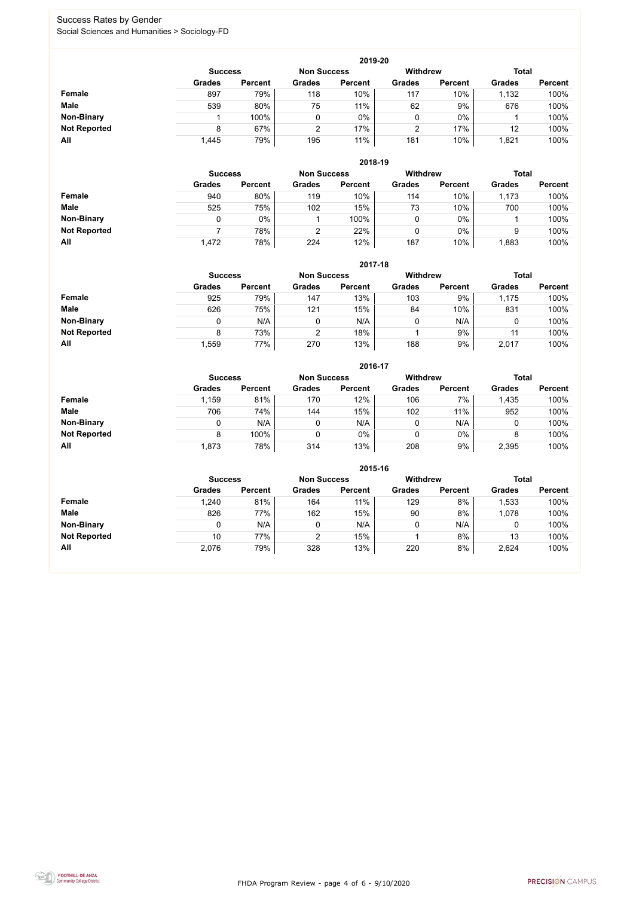FHDA Program Review - page 4 of 6 - 9/10/2020



### Success Rates by Gender Social Sciences and Humanities > Sociology-FD

|                     |                | 2019-20        |                    |                |                 |                |               |                |  |  |  |  |  |  |
|---------------------|----------------|----------------|--------------------|----------------|-----------------|----------------|---------------|----------------|--|--|--|--|--|--|
|                     | <b>Success</b> |                | <b>Non Success</b> |                | <b>Withdrew</b> |                | <b>Total</b>  |                |  |  |  |  |  |  |
|                     | <b>Grades</b>  | <b>Percent</b> | <b>Grades</b>      | <b>Percent</b> | <b>Grades</b>   | <b>Percent</b> | <b>Grades</b> | <b>Percent</b> |  |  |  |  |  |  |
| Female              | 897            | 79%            | 118                | 10%            | 117             | 10%            | 1,132         | 100%           |  |  |  |  |  |  |
| <b>Male</b>         | 539            | 80%            | 75                 | 11%            | 62              | 9%             | 676           | 100%           |  |  |  |  |  |  |
| <b>Non-Binary</b>   |                | 100%           |                    | $0\%$          | 0               | $0\%$          |               | 100%           |  |  |  |  |  |  |
| <b>Not Reported</b> | 8              | 67%            | $\overline{2}$     | 17%            |                 | 17%            | 12            | 100%           |  |  |  |  |  |  |
| All                 | 1,445          | 79%            | 195                | 11%            | 181             | 10%            | 1,821         | 100%           |  |  |  |  |  |  |

|                     |               | 2018-19                              |               |                |               |                |               |                |  |  |  |  |  |  |
|---------------------|---------------|--------------------------------------|---------------|----------------|---------------|----------------|---------------|----------------|--|--|--|--|--|--|
|                     |               | <b>Non Success</b><br><b>Success</b> |               |                |               |                | <b>Total</b>  |                |  |  |  |  |  |  |
|                     | <b>Grades</b> | <b>Percent</b>                       | <b>Grades</b> | <b>Percent</b> | <b>Grades</b> | <b>Percent</b> | <b>Grades</b> | <b>Percent</b> |  |  |  |  |  |  |
| <b>Female</b>       | 940           | 80%                                  | 119           | 10%            | 114           | 10%            | 1,173         | 100%           |  |  |  |  |  |  |
| <b>Male</b>         | 525           | 75%                                  | 102           | 15%            | 73            | 10%            | 700           | 100%           |  |  |  |  |  |  |
| <b>Non-Binary</b>   | 0             | 0%                                   |               | 100%           | υ             | $0\%$          |               | 100%           |  |  |  |  |  |  |
| <b>Not Reported</b> |               | 78%                                  | 2             | 22%            | υ             | $0\%$          | 9             | 100%           |  |  |  |  |  |  |
| All                 | 1,472         | 78%                                  | 224           | 12%            | 187           | 10%            | .883          | 100%           |  |  |  |  |  |  |

|                     |               | 2017-18                                                                 |               |                |               |                |               |                |  |  |  |  |  |
|---------------------|---------------|-------------------------------------------------------------------------|---------------|----------------|---------------|----------------|---------------|----------------|--|--|--|--|--|
|                     |               | <b>Withdrew</b><br><b>Total</b><br><b>Non Success</b><br><b>Success</b> |               |                |               |                |               |                |  |  |  |  |  |
|                     | <b>Grades</b> | <b>Percent</b>                                                          | <b>Grades</b> | <b>Percent</b> | <b>Grades</b> | <b>Percent</b> | <b>Grades</b> | <b>Percent</b> |  |  |  |  |  |
| <b>Female</b>       | 925           | 79%                                                                     | 147           | 13%            | 103           | 9%             | 1,175         | 100%           |  |  |  |  |  |
| <b>Male</b>         | 626           | 75%                                                                     | 121           | 15%            | 84            | 10%            | 831           | 100%           |  |  |  |  |  |
| <b>Non-Binary</b>   | 0             | N/A                                                                     | 0             | N/A            | 0             | N/A            | 0             | 100%           |  |  |  |  |  |
| <b>Not Reported</b> | 8             | 73%                                                                     | 2             | 18%            |               | 9%             | 11            | 100%           |  |  |  |  |  |
| All                 | ,559          | 77%                                                                     | 270           | 13%            | 188           | 9%             | 2,017         | 100%           |  |  |  |  |  |

|                     |               | 2016-17                              |               |                |                 |                |               |                |  |  |
|---------------------|---------------|--------------------------------------|---------------|----------------|-----------------|----------------|---------------|----------------|--|--|
|                     |               | <b>Non Success</b><br><b>Success</b> |               |                | <b>Withdrew</b> |                | <b>Total</b>  |                |  |  |
|                     | <b>Grades</b> | <b>Percent</b>                       | <b>Grades</b> | <b>Percent</b> | <b>Grades</b>   | <b>Percent</b> | <b>Grades</b> | <b>Percent</b> |  |  |
| Female              | 1,159         | 81%                                  | 170           | 12%            | 106             | 7%             | 1,435         | 100%           |  |  |
| <b>Male</b>         | 706           | 74%                                  | 144           | 15%            | 102             | 11%            | 952           | 100%           |  |  |
| <b>Non-Binary</b>   | 0             | N/A                                  |               | N/A            | 0               | N/A            |               | 100%           |  |  |
| <b>Not Reported</b> | 8             | 100%                                 |               | $0\%$          | 0               | $0\%$          | 8             | 100%           |  |  |
| All                 | 1,873         | 78%                                  | 314           | 13%            | 208             | 9%             | 2,395         | 100%           |  |  |

|                     |               | 2015-16                              |               |                |                 |                |               |                |  |  |
|---------------------|---------------|--------------------------------------|---------------|----------------|-----------------|----------------|---------------|----------------|--|--|
|                     |               | <b>Non Success</b><br><b>Success</b> |               |                | <b>Withdrew</b> |                | <b>Total</b>  |                |  |  |
|                     | <b>Grades</b> | <b>Percent</b>                       | <b>Grades</b> | <b>Percent</b> | <b>Grades</b>   | <b>Percent</b> | <b>Grades</b> | <b>Percent</b> |  |  |
| Female              | 1,240         | 81%                                  | 164           | 11%            | 129             | 8%             | 1,533         | 100%           |  |  |
| <b>Male</b>         | 826           | 77%                                  | 162           | 15%            | 90              | 8%             | 1,078         | 100%           |  |  |
| <b>Non-Binary</b>   |               | N/A                                  | 0             | N/A            |                 | N/A            |               | 100%           |  |  |
| <b>Not Reported</b> | 10            | 77%                                  |               | 15%            |                 | 8%             | 13            | 100%           |  |  |
| All                 | 2,076         | 79%                                  | 328           | 13%            | 220             | 8%             | 2,624         | 100%           |  |  |

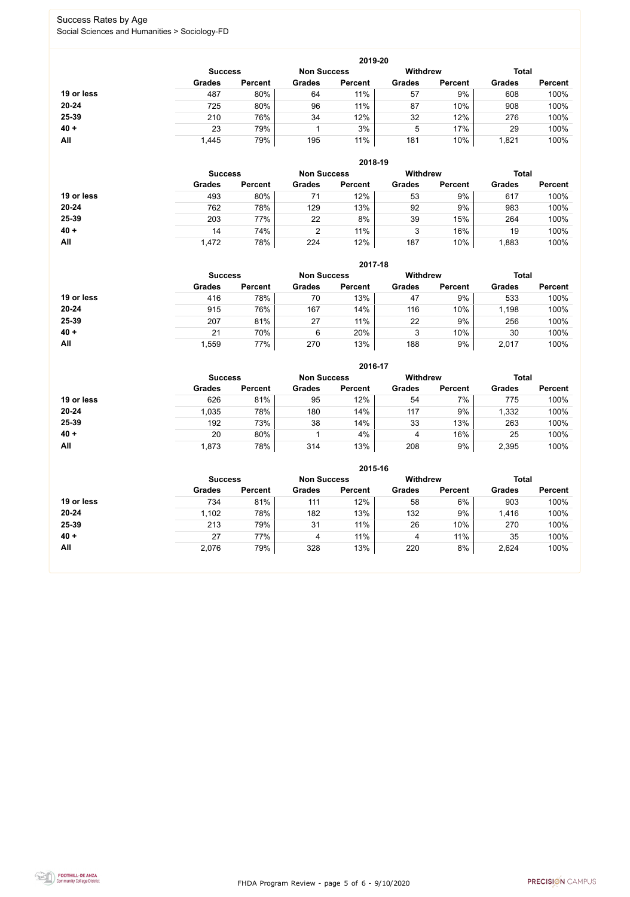FHDA Program Review - page 5 of 6 - 9/10/2020



### Success Rates by Age Social Sciences and Humanities > Sociology-FD

|            | 2019-20        |                    |               |                 |               |                |               |                |  |
|------------|----------------|--------------------|---------------|-----------------|---------------|----------------|---------------|----------------|--|
|            | <b>Success</b> | <b>Non Success</b> |               | <b>Withdrew</b> |               | <b>Total</b>   |               |                |  |
|            | <b>Grades</b>  | <b>Percent</b>     | <b>Grades</b> | <b>Percent</b>  | <b>Grades</b> | <b>Percent</b> | <b>Grades</b> | <b>Percent</b> |  |
| 19 or less | 487            | 80%                | 64            | 11%             | 57            | 9%             | 608           | 100%           |  |
| $20 - 24$  | 725            | 80%                | 96            | 11%             | 87            | 10%            | 908           | 100%           |  |
| 25-39      | 210            | 76%                | 34            | 12%             | 32            | 12%            | 276           | 100%           |  |
| $40 +$     | 23             | 79%                |               | 3%              | 5             | 17%            | 29            | 100%           |  |
| All        | 1,445          | 79%                | 195           | 11%             | 181           | 10%            | 1,821         | 100%           |  |

|            | 2018-19                              |                |               |                |                 |                |               |                |  |
|------------|--------------------------------------|----------------|---------------|----------------|-----------------|----------------|---------------|----------------|--|
|            | <b>Non Success</b><br><b>Success</b> |                |               |                | <b>Withdrew</b> |                | <b>Total</b>  |                |  |
|            | <b>Grades</b>                        | <b>Percent</b> | <b>Grades</b> | <b>Percent</b> | <b>Grades</b>   | <b>Percent</b> | <b>Grades</b> | <b>Percent</b> |  |
| 19 or less | 493                                  | 80%            | 71            | 12%            | 53              | 9%             | 617           | 100%           |  |
| $20 - 24$  | 762                                  | 78%            | 129           | 13%            | 92              | 9%             | 983           | 100%           |  |
| 25-39      | 203                                  | 77%            | 22            | 8%             | 39              | 15%            | 264           | 100%           |  |
| $40 +$     | 14                                   | 74%            | ◠             | 11%            | 3               | 16%            | 19            | 100%           |  |
| All        | 1,472                                | 78%            | 224           | 12%            | 187             | 10%            | ,883          | 100%           |  |

|            | 2017-18                              |                |               |                |                 |                |               |                |  |
|------------|--------------------------------------|----------------|---------------|----------------|-----------------|----------------|---------------|----------------|--|
|            | <b>Non Success</b><br><b>Success</b> |                |               |                | <b>Withdrew</b> |                | <b>Total</b>  |                |  |
|            | <b>Grades</b>                        | <b>Percent</b> | <b>Grades</b> | <b>Percent</b> | <b>Grades</b>   | <b>Percent</b> | <b>Grades</b> | <b>Percent</b> |  |
| 19 or less | 416                                  | 78%            | 70            | 13%            | 47              | 9%             | 533           | 100%           |  |
| $20 - 24$  | 915                                  | 76%            | 167           | 14%            | 116             | 10%            | 1,198         | 100%           |  |
| 25-39      | 207                                  | 81%            | 27            | 11%            | 22              | $9\%$          | 256           | 100%           |  |
| $40 +$     | 21                                   | 70%            | 6             | 20%            | 2<br>J          | 10%            | 30            | 100%           |  |
| All        | ,559                                 | 77%            | 270           | 13%            | 188             | 9%             | 2,017         | 100%           |  |

|            | 2016-17        |                |               |                    |                 |                |               |                |  |
|------------|----------------|----------------|---------------|--------------------|-----------------|----------------|---------------|----------------|--|
|            | <b>Success</b> |                |               | <b>Non Success</b> | <b>Withdrew</b> |                | <b>Total</b>  |                |  |
|            | <b>Grades</b>  | <b>Percent</b> | <b>Grades</b> | <b>Percent</b>     | <b>Grades</b>   | <b>Percent</b> | <b>Grades</b> | <b>Percent</b> |  |
| 19 or less | 626            | 81%            | 95            | 12%                | 54              | 7%             | 775           | 100%           |  |
| $20 - 24$  | 1,035          | 78%            | 180           | 14%                | 117             | 9%             | 1,332         | 100%           |  |
| 25-39      | 192            | 73%            | 38            | 14%                | 33              | 13%            | 263           | 100%           |  |
| $40 +$     | 20             | 80%            |               | 4%                 | 4               | 16%            | 25            | 100%           |  |
| <b>All</b> | 1,873          | 78%            | 314           | 13%                | 208             | 9%             | 2,395         | 100%           |  |

|            | 2015-16                              |                |               |                |                 |                |               |                |  |
|------------|--------------------------------------|----------------|---------------|----------------|-----------------|----------------|---------------|----------------|--|
|            | <b>Non Success</b><br><b>Success</b> |                |               |                | <b>Withdrew</b> |                | <b>Total</b>  |                |  |
|            | <b>Grades</b>                        | <b>Percent</b> | <b>Grades</b> | <b>Percent</b> | <b>Grades</b>   | <b>Percent</b> | <b>Grades</b> | <b>Percent</b> |  |
| 19 or less | 734                                  | 81%            | 111           | 12%            | 58              | 6%             | 903           | 100%           |  |
| $20 - 24$  | 1,102                                | 78%            | 182           | 13%            | 132             | 9%             | 1,416         | 100%           |  |
| 25-39      | 213                                  | 79%            | 31            | 11%            | 26              | 10%            | 270           | 100%           |  |
| $40 +$     | 27                                   | 77%            | 4             | 11%            | 4               | 11%            | 35            | 100%           |  |
| All        | 2,076                                | 79%            | 328           | 13%            | 220             | 8%             | 2,624         | 100%           |  |